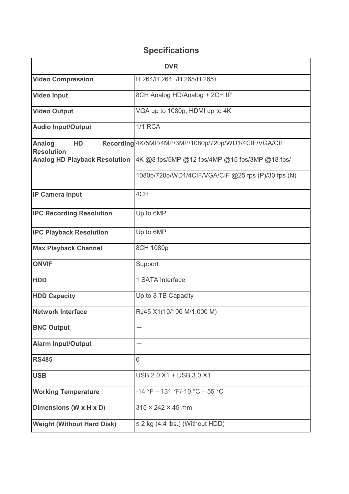## **Specifications**

| <b>DVR</b>                               |                                                      |
|------------------------------------------|------------------------------------------------------|
| <b>Video Compression</b>                 | H.264/H.264+/H.265/H.265+                            |
| <b>Video Input</b>                       | 8CH Analog HD/Analog + 2CH IP                        |
| <b>Video Output</b>                      | VGA up to 1080p; HDMI up to 4K                       |
| <b>Audio Input/Output</b>                | <b>1/1 RCA</b>                                       |
| <b>Analog</b><br>HD<br><b>Resolution</b> | Recording 4K/5MP/4MP/3MP/1080p/720p/WD1/4CIF/VGA/CIF |
| <b>Analog HD Playback Resolution</b>     | 4K @8 fps/5MP @12 fps/4MP @15 fps/3MP @18 fps/       |
|                                          | 1080p/720p/WD1/4CIF/VGA/CIF @25 fps (P)/30 fps (N)   |
| <b>IP Camera Input</b>                   | 4CH                                                  |
| <b>IPC Recording Resolution</b>          | Up to 6MP                                            |
| <b>IPC Playback Resolution</b>           | Up to 6MP                                            |
| <b>Max Playback Channel</b>              | 8CH 1080p                                            |
| <b>ONVIF</b>                             | Support                                              |
| <b>HDD</b>                               | 1 SATA Interface                                     |
| <b>HDD Capacity</b>                      | Up to 8 TB Capacity                                  |
| <b>Network Interface</b>                 | RJ45 X1(10/100 M/1,000 M)                            |
| <b>BNC Output</b>                        |                                                      |
| <b>Alarm Input/Output</b>                |                                                      |
| <b>RS485</b>                             | $\overline{0}$                                       |
| <b>USB</b>                               | USB 2.0 X1 + USB 3.0 X1                              |
| <b>Working Temperature</b>               | $-14$ °F $- 131$ °F/-10 °C $- 55$ °C                 |
| Dimensions (W x H x D)                   | $315 \times 242 \times 45$ mm                        |
| <b>Weight (Without Hard Disk)</b>        | $\leq$ 2 kg (4.4 lbs.) (Without HDD)                 |